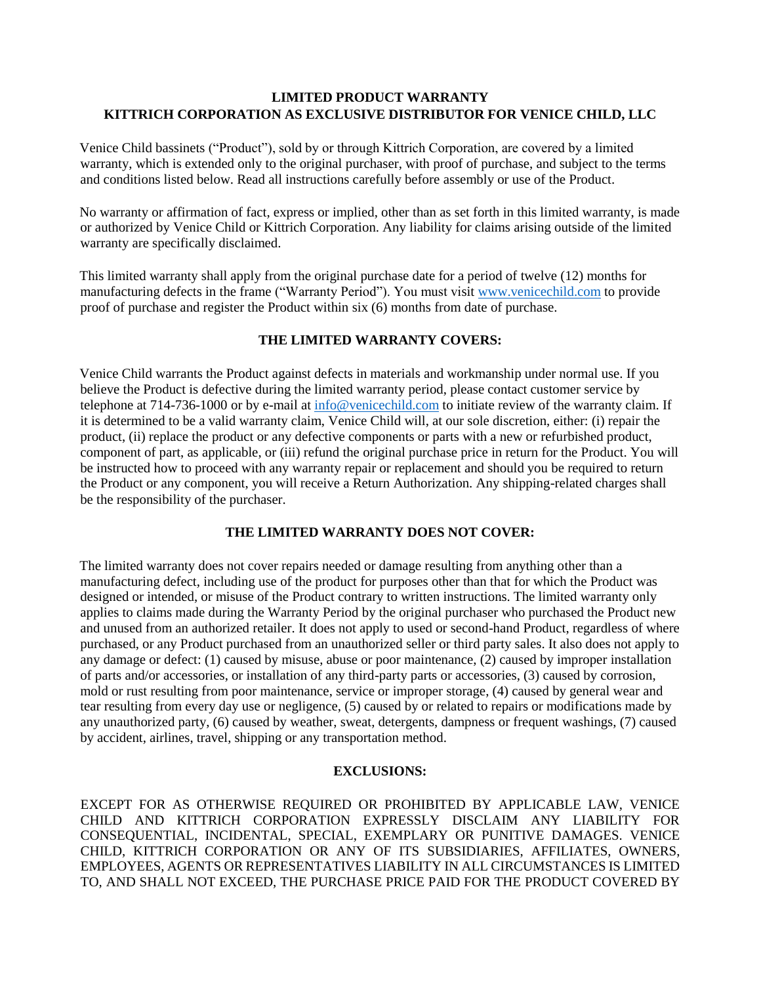## **LIMITED PRODUCT WARRANTY KITTRICH CORPORATION AS EXCLUSIVE DISTRIBUTOR FOR VENICE CHILD, LLC**

Venice Child bassinets ("Product"), sold by or through Kittrich Corporation, are covered by a limited warranty, which is extended only to the original purchaser, with proof of purchase, and subject to the terms and conditions listed below. Read all instructions carefully before assembly or use of the Product.

No warranty or affirmation of fact, express or implied, other than as set forth in this limited warranty, is made or authorized by Venice Child or Kittrich Corporation. Any liability for claims arising outside of the limited warranty are specifically disclaimed.

This limited warranty shall apply from the original purchase date for a period of twelve (12) months for manufacturing defects in the frame ("Warranty Period"). You must visit [www.venicechild.com](http://www.venicechild.com/) to provide proof of purchase and register the Product within six (6) months from date of purchase.

## **THE LIMITED WARRANTY COVERS:**

Venice Child warrants the Product against defects in materials and workmanship under normal use. If you believe the Product is defective during the limited warranty period, please contact customer service by telephone at 714-736-1000 or by e-mail at info@venicechild.com to initiate review of the warranty claim. If it is determined to be a valid warranty claim, Venice Child will, at our sole discretion, either: (i) repair the product, (ii) replace the product or any defective components or parts with a new or refurbished product, component of part, as applicable, or (iii) refund the original purchase price in return for the Product. You will be instructed how to proceed with any warranty repair or replacement and should you be required to return the Product or any component, you will receive a Return Authorization. Any shipping-related charges shall be the responsibility of the purchaser.

## **THE LIMITED WARRANTY DOES NOT COVER:**

The limited warranty does not cover repairs needed or damage resulting from anything other than a manufacturing defect, including use of the product for purposes other than that for which the Product was designed or intended, or misuse of the Product contrary to written instructions. The limited warranty only applies to claims made during the Warranty Period by the original purchaser who purchased the Product new and unused from an authorized retailer. It does not apply to used or second-hand Product, regardless of where purchased, or any Product purchased from an unauthorized seller or third party sales. It also does not apply to any damage or defect: (1) caused by misuse, abuse or poor maintenance, (2) caused by improper installation of parts and/or accessories, or installation of any third-party parts or accessories, (3) caused by corrosion, mold or rust resulting from poor maintenance, service or improper storage, (4) caused by general wear and tear resulting from every day use or negligence, (5) caused by or related to repairs or modifications made by any unauthorized party, (6) caused by weather, sweat, detergents, dampness or frequent washings, (7) caused by accident, airlines, travel, shipping or any transportation method.

## **EXCLUSIONS:**

EXCEPT FOR AS OTHERWISE REQUIRED OR PROHIBITED BY APPLICABLE LAW, VENICE CHILD AND KITTRICH CORPORATION EXPRESSLY DISCLAIM ANY LIABILITY FOR CONSEQUENTIAL, INCIDENTAL, SPECIAL, EXEMPLARY OR PUNITIVE DAMAGES. VENICE CHILD, KITTRICH CORPORATION OR ANY OF ITS SUBSIDIARIES, AFFILIATES, OWNERS, EMPLOYEES, AGENTS OR REPRESENTATIVES LIABILITY IN ALL CIRCUMSTANCES IS LIMITED TO, AND SHALL NOT EXCEED, THE PURCHASE PRICE PAID FOR THE PRODUCT COVERED BY